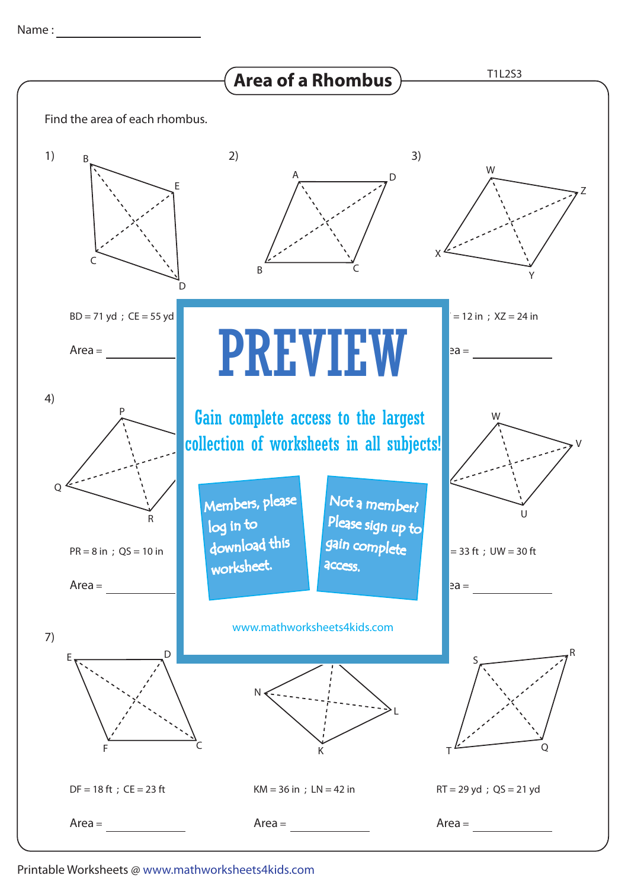